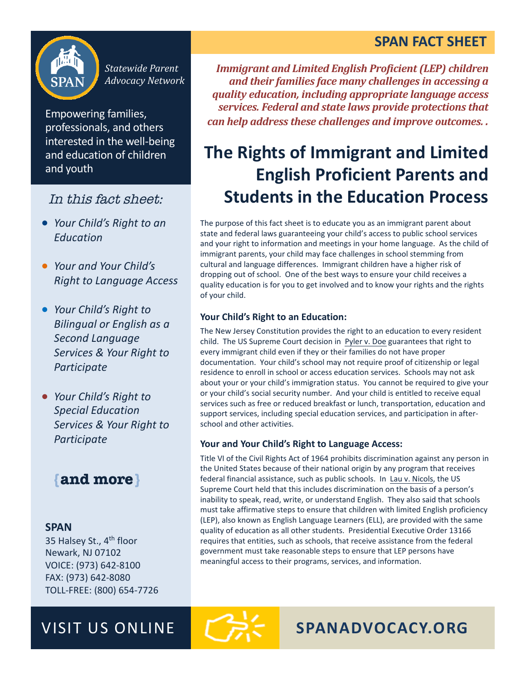## **SPAN FACT SHEET**



*Statewide Parent Advocacy Network*

Empowering families, professionals, and others interested in the well-being and education of children and youth

### In this fact sheet:

- *Your Child's Right to an Education*
- *Your and Your Child's Right to Language Access*
- *Your Child's Right to* **Bilingual or English as a** *Second Language*  **Services & Your Right to** *Participate*
- *Your Child's Right to Special Education*  Services & Your Right to *Participate*

# **{and more}**

#### **SPAN**

35 Halsey St., 4<sup>th</sup> floor **Newark, NJ 07102** VOICE: (973) 642-8100 FAX: (973) 642-8080 TOLL-FREE: (800) 654-7726

*Immigrant and Limited English Proficient (LEP) children* and their families face many challenges in accessing a *quality education, including appropriate language access*  services. Federal and state laws provide protections that *can help address these challenges and improve outcomes..* 

# **The Rights of Immigrant and Limited English Proficient Parents and Students in the Education Process**

The purpose of this fact sheet is to educate you as an immigrant parent about state and federal laws guaranteeing your child's access to public school services and your right to information and meetings in your home language. As the child of immigrant parents, your child may face challenges in school stemming from cultural and language differences. Immigrant children have a higher risk of dropping out of school. One of the best ways to ensure your child receives a quality education is for you to get involved and to know your rights and the rights of vour child.

#### **Your Child's Right to an Education:**

The New Jersey Constitution provides the right to an education to every resident child. The US Supreme Court decision in Pyler v. Doe guarantees that right to every immigrant child even if they or their families do not have proper documentation. Your child's school may not require proof of citizenship or legal residence to enroll in school or access education services. Schools may not ask about your or your child's immigration status. You cannot be required to give your or your child's social security number. And your child is entitled to receive equal services such as free or reduced breakfast or lunch, transportation, education and support services, including special education services, and participation in afterschool and other activities.

#### **Your and Your Child's Right to Language Access:**

Title VI of the Civil Rights Act of 1964 prohibits discrimination against any person in the United States because of their national origin by any program that receives federal financial assistance, such as public schools. In Lau v. Nicols, the US Supreme Court held that this includes discrimination on the basis of a person's inability to speak, read, write, or understand English. They also said that schools must take affirmative steps to ensure that children with limited English proficiency (LEP), also known as English Language Learners (ELL), are provided with the same quality of education as all other students. Presidential Executive Order 13166 requires that entities, such as schools, that receive assistance from the federal government must take reasonable steps to ensure that LEP persons have meaningful access to their programs, services, and information.

VISIT US ONLINE **THE SPANADVOCACY.ORG**